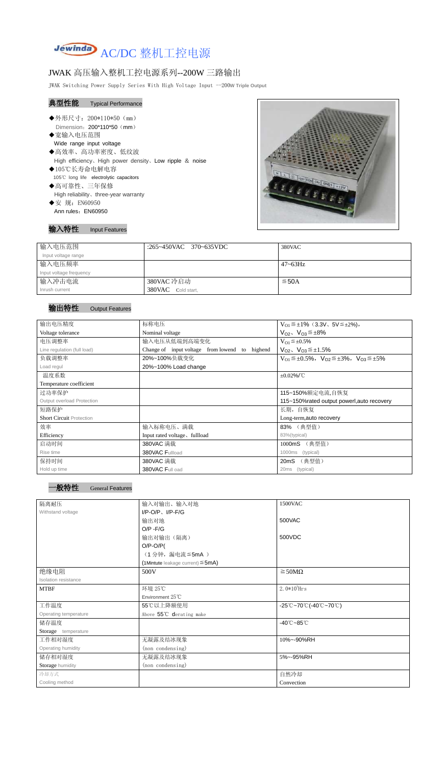

## JWAK 高压输入整机工控电源系列--200W 三路输出

JWAK Switching Power Supply Series With High Voltage Input --200**W Triple Output**

- ◆外形尺寸: 200\*110\*50 (mm) Dimension: 200\*110\*50 (mm)
- ◆宽输入电压范围 Wide range input voltage
- ◆高效率、高功率密度、低纹波 High efficiency、High power density、Low ripple & noise ◆105℃长寿命电解电容
- 105℃ long life electrolytic capacitors
- ◆高可靠性、三年保修 High reliability、three-year warranty
- ◆安 规: EN60950 Ann rules: EN60950

Ī



## 典型性能 Typical Performance

输入特性 Input Features

| 输入电压范围                  | :265~450VAC 370~635VDC | 380VAC       |
|-------------------------|------------------------|--------------|
| Input voltage range     |                        |              |
| 输入电压频率                  |                        | $47 - 63$ Hz |
| Input voltage frequency |                        |              |
| 输入冲击电流                  | 380VAC 冷启动             | $\leq$ 50A   |
| Inrush current          | 380VAC Cold start,     |              |

## 输出特性 Output Features

| 输出电压精度                            | 标称电压                                                 | $V_{01} \leq \pm 1\%$ (3.3V, 5V $\leq \pm 2\%$ ),                       |  |
|-----------------------------------|------------------------------------------------------|-------------------------------------------------------------------------|--|
| Voltage tolerance                 | Nominal voltage                                      | $V_{O2}$ , $V_{O3} \leq \pm 8\%$                                        |  |
| 电压调整率                             | 输入电压从低端到高端变化                                         | $V_{O1} \leq \pm 0.5\%$                                                 |  |
| Line regulation (full load)       | Change of input voltage from lowend<br>highend<br>to | $V_{O2}$ , $V_{O3} \leq \pm 1.5\%$                                      |  |
| 负载调整率                             | 20%~100%负载变化                                         | $V_{O1} \leq \pm 0.5\%$ , $V_{O2} \leq \pm 3\%$ , $V_{O3} \leq \pm 5\%$ |  |
| Load regul                        | 20%~100% Load change                                 |                                                                         |  |
| 温度系数                              |                                                      | $\pm 0.02\%$ /°C                                                        |  |
| Temperature coefficient           |                                                      |                                                                         |  |
| 过功率保护                             |                                                      | 115~150%额定电流,自恢复                                                        |  |
| <b>Output overload Protection</b> |                                                      | 115~150% rated output powerl, auto recovery                             |  |
| 短路保护                              |                                                      | 长期,自恢复                                                                  |  |
| <b>Short Circuit Protection</b>   |                                                      | Long-term, auto recovery                                                |  |
| 效率                                | 输入标称电压、满载                                            | 83% (典型值)                                                               |  |
| Efficiency                        | Input rated voltage, fullload                        | 83%(typical)                                                            |  |
| 启动时间                              | 380VAC 满载                                            | 1000mS (典型值)                                                            |  |
| Rise time                         | 380VAC Fullload                                      | 1000ms<br>(typical)                                                     |  |
| 保持时间                              | 380VAC 满载                                            | 20mS<br>(典型值)                                                           |  |
| Hold up time                      | 380VAC Full oad                                      | (typical)<br>20ms                                                       |  |



| 隔离耐压                  | 输入对输出、输入对地<br>1500VAC                     |                                                                                       |  |
|-----------------------|-------------------------------------------|---------------------------------------------------------------------------------------|--|
| Withstand voltage     | $I/P-O/P$ , $I/P-F/G$                     |                                                                                       |  |
|                       | 输出对地                                      | 500VAC                                                                                |  |
|                       | $O/P - F/G$                               |                                                                                       |  |
|                       | 输出对输出(隔离)                                 | 500VDC                                                                                |  |
|                       | $O/P-O/P($                                |                                                                                       |  |
|                       | (1分钟,漏电流 ≦5mA)                            |                                                                                       |  |
|                       | $(1$ Mintute leakage current) $\leq$ 5mA) |                                                                                       |  |
| 绝缘电阻                  | 500V                                      | $\geq$ 50M $\Omega$                                                                   |  |
| Isolation resistance  |                                           |                                                                                       |  |
| <b>MTBF</b>           | 环境 25℃                                    | $2.0*105$ Hrs                                                                         |  |
|                       | Environment 25°C                          |                                                                                       |  |
| 工作温度                  | 55℃以上降额使用                                 | $-25^{\circ}\text{C}-70^{\circ}\text{C}$ (-40 $^{\circ}\text{C}-70^{\circ}\text{C}$ ) |  |
| Operating temperature | Above 55°C derating make                  |                                                                                       |  |
| 储存温度                  |                                           | $-40^{\circ}$ C $-85^{\circ}$ C                                                       |  |
| Storage temperature   |                                           |                                                                                       |  |
| 工作相对湿度                | 无凝露及结冰现象                                  | 10%~-90%RH                                                                            |  |
| Operating humidity    | (non condensing)                          |                                                                                       |  |
| 储存相对湿度                | 无凝露及结冰现象                                  | 5%~-95%RH                                                                             |  |
| Storage humidity      | (non condensing)                          |                                                                                       |  |
| 冷却方式                  |                                           | 自然冷却                                                                                  |  |
| Cooling method        |                                           | Convection                                                                            |  |